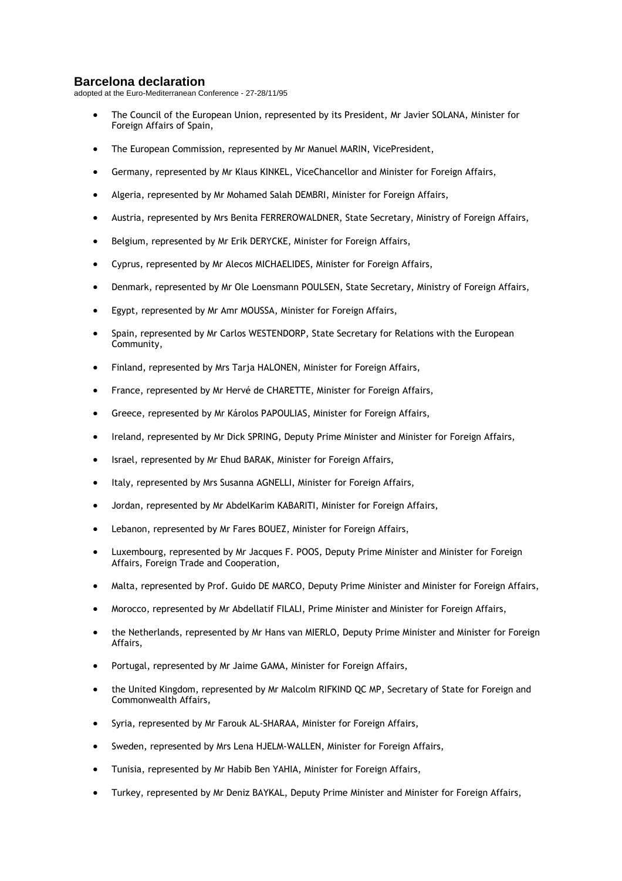# **Barcelona declaration**

adopted at the Euro-Mediterranean Conference - 27-28/11/95

- The Council of the European Union, represented by its President, Mr Javier SOLANA, Minister for Foreign Affairs of Spain,
- The European Commission, represented by Mr Manuel MARIN, VicePresident,
- Germany, represented by Mr Klaus KINKEL, ViceChancellor and Minister for Foreign Affairs,
- Algeria, represented by Mr Mohamed Salah DEMBRI, Minister for Foreign Affairs,
- Austria, represented by Mrs Benita FERREROWALDNER, State Secretary, Ministry of Foreign Affairs,
- Belgium, represented by Mr Erik DERYCKE, Minister for Foreign Affairs,
- Cyprus, represented by Mr Alecos MICHAELIDES, Minister for Foreign Affairs,
- Denmark, represented by Mr Ole Loensmann POULSEN, State Secretary, Ministry of Foreign Affairs,
- Egypt, represented by Mr Amr MOUSSA, Minister for Foreign Affairs,
- Spain, represented by Mr Carlos WESTENDORP, State Secretary for Relations with the European Community,
- Finland, represented by Mrs Tarja HALONEN, Minister for Foreign Affairs,
- France, represented by Mr Hervé de CHARETTE, Minister for Foreign Affairs,
- Greece, represented by Mr Károlos PAPOULIAS, Minister for Foreign Affairs,
- Ireland, represented by Mr Dick SPRING, Deputy Prime Minister and Minister for Foreign Affairs,
- Israel, represented by Mr Ehud BARAK, Minister for Foreign Affairs,
- Italy, represented by Mrs Susanna AGNELLI, Minister for Foreign Affairs,
- Jordan, represented by Mr AbdelKarim KABARITI, Minister for Foreign Affairs,
- Lebanon, represented by Mr Fares BOUEZ, Minister for Foreign Affairs,
- Luxembourg, represented by Mr Jacques F. POOS, Deputy Prime Minister and Minister for Foreign Affairs, Foreign Trade and Cooperation,
- Malta, represented by Prof. Guido DE MARCO, Deputy Prime Minister and Minister for Foreign Affairs,
- Morocco, represented by Mr Abdellatif FILALI, Prime Minister and Minister for Foreign Affairs,
- the Netherlands, represented by Mr Hans van MIERLO, Deputy Prime Minister and Minister for Foreign Affairs,
- Portugal, represented by Mr Jaime GAMA, Minister for Foreign Affairs,
- the United Kingdom, represented by Mr Malcolm RIFKIND QC MP, Secretary of State for Foreign and Commonwealth Affairs,
- Syria, represented by Mr Farouk AL-SHARAA, Minister for Foreign Affairs,
- Sweden, represented by Mrs Lena HJELM-WALLEN, Minister for Foreign Affairs,
- Tunisia, represented by Mr Habib Ben YAHIA, Minister for Foreign Affairs,
- Turkey, represented by Mr Deniz BAYKAL, Deputy Prime Minister and Minister for Foreign Affairs,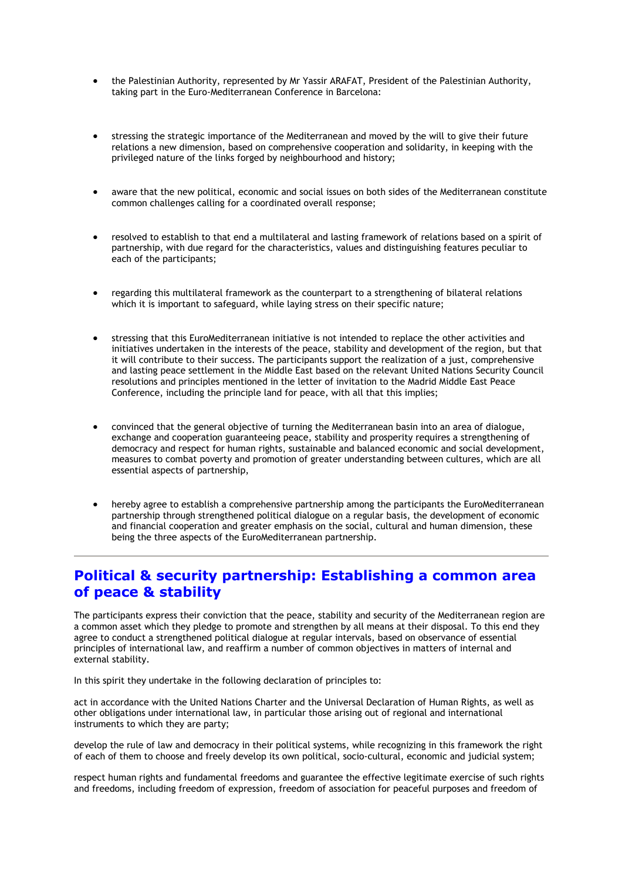- the Palestinian Authority, represented by Mr Yassir ARAFAT, President of the Palestinian Authority, taking part in the Euro-Mediterranean Conference in Barcelona:
- stressing the strategic importance of the Mediterranean and moved by the will to give their future relations a new dimension, based on comprehensive cooperation and solidarity, in keeping with the privileged nature of the links forged by neighbourhood and history;
- aware that the new political, economic and social issues on both sides of the Mediterranean constitute common challenges calling for a coordinated overall response;
- resolved to establish to that end a multilateral and lasting framework of relations based on a spirit of partnership, with due regard for the characteristics, values and distinguishing features peculiar to each of the participants;
- regarding this multilateral framework as the counterpart to a strengthening of bilateral relations which it is important to safeguard, while laying stress on their specific nature;
- stressing that this EuroMediterranean initiative is not intended to replace the other activities and initiatives undertaken in the interests of the peace, stability and development of the region, but that it will contribute to their success. The participants support the realization of a just, comprehensive and lasting peace settlement in the Middle East based on the relevant United Nations Security Council resolutions and principles mentioned in the letter of invitation to the Madrid Middle East Peace Conference, including the principle land for peace, with all that this implies;
- convinced that the general objective of turning the Mediterranean basin into an area of dialogue, exchange and cooperation guaranteeing peace, stability and prosperity requires a strengthening of democracy and respect for human rights, sustainable and balanced economic and social development, measures to combat poverty and promotion of greater understanding between cultures, which are all essential aspects of partnership,
- hereby agree to establish a comprehensive partnership among the participants the EuroMediterranean partnership through strengthened political dialogue on a regular basis, the development of economic and financial cooperation and greater emphasis on the social, cultural and human dimension, these being the three aspects of the EuroMediterranean partnership.

# **Political & security partnership: Establishing a common area of peace & stability**

The participants express their conviction that the peace, stability and security of the Mediterranean region are a common asset which they pledge to promote and strengthen by all means at their disposal. To this end they agree to conduct a strengthened political dialogue at regular intervals, based on observance of essential principles of international law, and reaffirm a number of common objectives in matters of internal and external stability.

In this spirit they undertake in the following declaration of principles to:

act in accordance with the United Nations Charter and the Universal Declaration of Human Rights, as well as other obligations under international law, in particular those arising out of regional and international instruments to which they are party;

develop the rule of law and democracy in their political systems, while recognizing in this framework the right of each of them to choose and freely develop its own political, socio-cultural, economic and judicial system;

respect human rights and fundamental freedoms and guarantee the effective legitimate exercise of such rights and freedoms, including freedom of expression, freedom of association for peaceful purposes and freedom of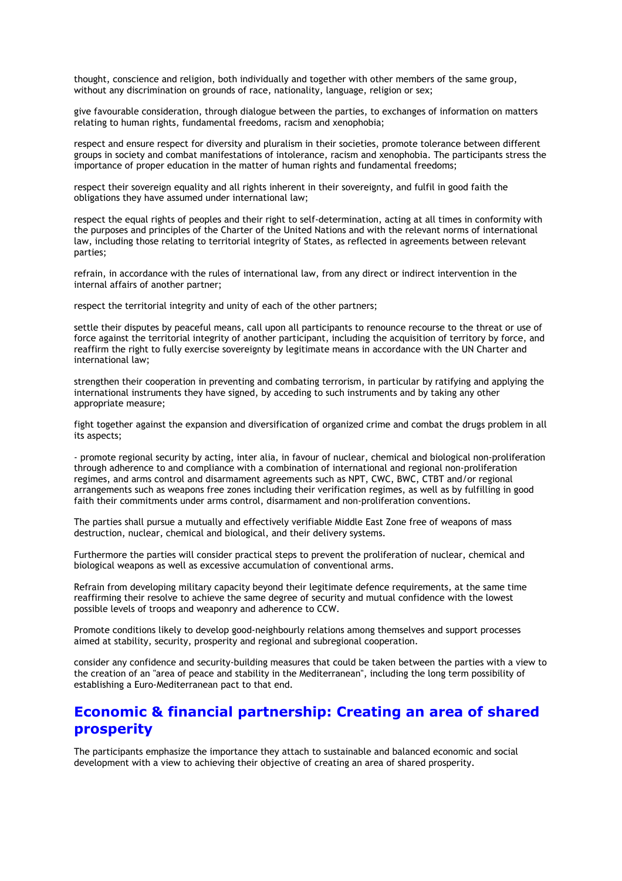thought, conscience and religion, both individually and together with other members of the same group, without any discrimination on grounds of race, nationality, language, religion or sex;

give favourable consideration, through dialogue between the parties, to exchanges of information on matters relating to human rights, fundamental freedoms, racism and xenophobia;

respect and ensure respect for diversity and pluralism in their societies, promote tolerance between different groups in society and combat manifestations of intolerance, racism and xenophobia. The participants stress the importance of proper education in the matter of human rights and fundamental freedoms;

respect their sovereign equality and all rights inherent in their sovereignty, and fulfil in good faith the obligations they have assumed under international law;

respect the equal rights of peoples and their right to self-determination, acting at all times in conformity with the purposes and principles of the Charter of the United Nations and with the relevant norms of international law, including those relating to territorial integrity of States, as reflected in agreements between relevant parties;

refrain, in accordance with the rules of international law, from any direct or indirect intervention in the internal affairs of another partner;

respect the territorial integrity and unity of each of the other partners;

settle their disputes by peaceful means, call upon all participants to renounce recourse to the threat or use of force against the territorial integrity of another participant, including the acquisition of territory by force, and reaffirm the right to fully exercise sovereignty by legitimate means in accordance with the UN Charter and international law;

strengthen their cooperation in preventing and combating terrorism, in particular by ratifying and applying the international instruments they have signed, by acceding to such instruments and by taking any other appropriate measure;

fight together against the expansion and diversification of organized crime and combat the drugs problem in all its aspects;

- promote regional security by acting, inter alia, in favour of nuclear, chemical and biological non-proliferation through adherence to and compliance with a combination of international and regional non-proliferation regimes, and arms control and disarmament agreements such as NPT, CWC, BWC, CTBT and/or regional arrangements such as weapons free zones including their verification regimes, as well as by fulfilling in good faith their commitments under arms control, disarmament and non-proliferation conventions.

The parties shall pursue a mutually and effectively verifiable Middle East Zone free of weapons of mass destruction, nuclear, chemical and biological, and their delivery systems.

Furthermore the parties will consider practical steps to prevent the proliferation of nuclear, chemical and biological weapons as well as excessive accumulation of conventional arms.

Refrain from developing military capacity beyond their legitimate defence requirements, at the same time reaffirming their resolve to achieve the same degree of security and mutual confidence with the lowest possible levels of troops and weaponry and adherence to CCW.

Promote conditions likely to develop good-neighbourly relations among themselves and support processes aimed at stability, security, prosperity and regional and subregional cooperation.

consider any confidence and security-building measures that could be taken between the parties with a view to the creation of an "area of peace and stability in the Mediterranean", including the long term possibility of establishing a Euro-Mediterranean pact to that end.

# **Economic & financial partnership: Creating an area of shared prosperity**

The participants emphasize the importance they attach to sustainable and balanced economic and social development with a view to achieving their objective of creating an area of shared prosperity.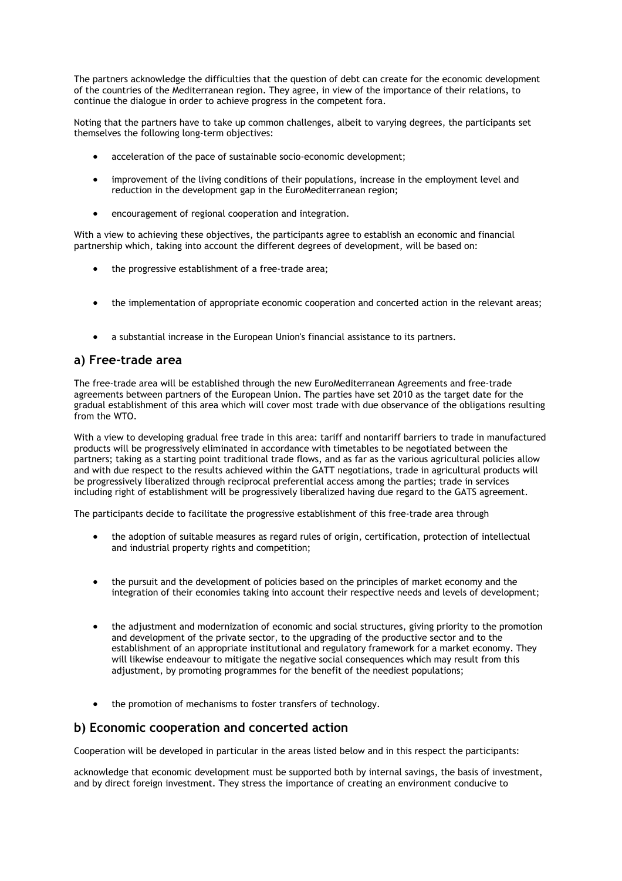The partners acknowledge the difficulties that the question of debt can create for the economic development of the countries of the Mediterranean region. They agree, in view of the importance of their relations, to continue the dialogue in order to achieve progress in the competent fora.

Noting that the partners have to take up common challenges, albeit to varying degrees, the participants set themselves the following long-term objectives:

- acceleration of the pace of sustainable socio-economic development;
- improvement of the living conditions of their populations, increase in the employment level and reduction in the development gap in the EuroMediterranean region;
- encouragement of regional cooperation and integration.

With a view to achieving these objectives, the participants agree to establish an economic and financial partnership which, taking into account the different degrees of development, will be based on:

- the progressive establishment of a free-trade area;
- the implementation of appropriate economic cooperation and concerted action in the relevant areas;
- a substantial increase in the European Union's financial assistance to its partners.

# **a) Free-trade area**

The free-trade area will be established through the new EuroMediterranean Agreements and free-trade agreements between partners of the European Union. The parties have set 2010 as the target date for the gradual establishment of this area which will cover most trade with due observance of the obligations resulting from the WTO.

With a view to developing gradual free trade in this area: tariff and nontariff barriers to trade in manufactured products will be progressively eliminated in accordance with timetables to be negotiated between the partners; taking as a starting point traditional trade flows, and as far as the various agricultural policies allow and with due respect to the results achieved within the GATT negotiations, trade in agricultural products will be progressively liberalized through reciprocal preferential access among the parties; trade in services including right of establishment will be progressively liberalized having due regard to the GATS agreement.

The participants decide to facilitate the progressive establishment of this free-trade area through

- the adoption of suitable measures as regard rules of origin, certification, protection of intellectual and industrial property rights and competition;
- the pursuit and the development of policies based on the principles of market economy and the integration of their economies taking into account their respective needs and levels of development;
- the adjustment and modernization of economic and social structures, giving priority to the promotion and development of the private sector, to the upgrading of the productive sector and to the establishment of an appropriate institutional and regulatory framework for a market economy. They will likewise endeavour to mitigate the negative social consequences which may result from this adjustment, by promoting programmes for the benefit of the neediest populations;
- the promotion of mechanisms to foster transfers of technology.

# **b) Economic cooperation and concerted action**

Cooperation will be developed in particular in the areas listed below and in this respect the participants:

acknowledge that economic development must be supported both by internal savings, the basis of investment, and by direct foreign investment. They stress the importance of creating an environment conducive to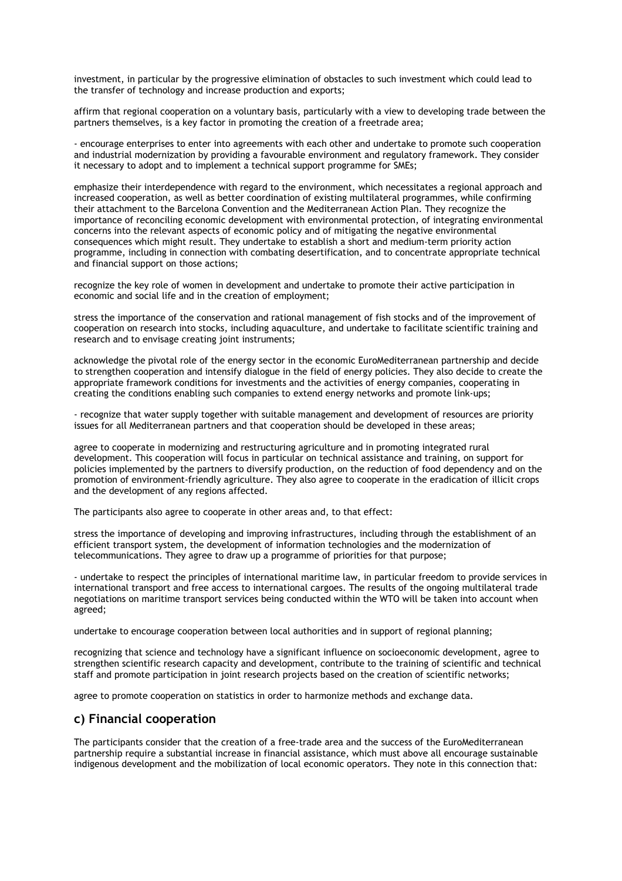investment, in particular by the progressive elimination of obstacles to such investment which could lead to the transfer of technology and increase production and exports;

affirm that regional cooperation on a voluntary basis, particularly with a view to developing trade between the partners themselves, is a key factor in promoting the creation of a freetrade area;

- encourage enterprises to enter into agreements with each other and undertake to promote such cooperation and industrial modernization by providing a favourable environment and regulatory framework. They consider it necessary to adopt and to implement a technical support programme for SMEs;

emphasize their interdependence with regard to the environment, which necessitates a regional approach and increased cooperation, as well as better coordination of existing multilateral programmes, while confirming their attachment to the Barcelona Convention and the Mediterranean Action Plan. They recognize the importance of reconciling economic development with environmental protection, of integrating environmental concerns into the relevant aspects of economic policy and of mitigating the negative environmental consequences which might result. They undertake to establish a short and medium-term priority action programme, including in connection with combating desertification, and to concentrate appropriate technical and financial support on those actions;

recognize the key role of women in development and undertake to promote their active participation in economic and social life and in the creation of employment;

stress the importance of the conservation and rational management of fish stocks and of the improvement of cooperation on research into stocks, including aquaculture, and undertake to facilitate scientific training and research and to envisage creating joint instruments;

acknowledge the pivotal role of the energy sector in the economic EuroMediterranean partnership and decide to strengthen cooperation and intensify dialogue in the field of energy policies. They also decide to create the appropriate framework conditions for investments and the activities of energy companies, cooperating in creating the conditions enabling such companies to extend energy networks and promote link-ups;

- recognize that water supply together with suitable management and development of resources are priority issues for all Mediterranean partners and that cooperation should be developed in these areas;

agree to cooperate in modernizing and restructuring agriculture and in promoting integrated rural development. This cooperation will focus in particular on technical assistance and training, on support for policies implemented by the partners to diversify production, on the reduction of food dependency and on the promotion of environment-friendly agriculture. They also agree to cooperate in the eradication of illicit crops and the development of any regions affected.

The participants also agree to cooperate in other areas and, to that effect:

stress the importance of developing and improving infrastructures, including through the establishment of an efficient transport system, the development of information technologies and the modernization of telecommunications. They agree to draw up a programme of priorities for that purpose;

- undertake to respect the principles of international maritime law, in particular freedom to provide services in international transport and free access to international cargoes. The results of the ongoing multilateral trade negotiations on maritime transport services being conducted within the WTO will be taken into account when agreed;

undertake to encourage cooperation between local authorities and in support of regional planning;

recognizing that science and technology have a significant influence on socioeconomic development, agree to strengthen scientific research capacity and development, contribute to the training of scientific and technical staff and promote participation in joint research projects based on the creation of scientific networks;

agree to promote cooperation on statistics in order to harmonize methods and exchange data.

# **c) Financial cooperation**

The participants consider that the creation of a free-trade area and the success of the EuroMediterranean partnership require a substantial increase in financial assistance, which must above all encourage sustainable indigenous development and the mobilization of local economic operators. They note in this connection that: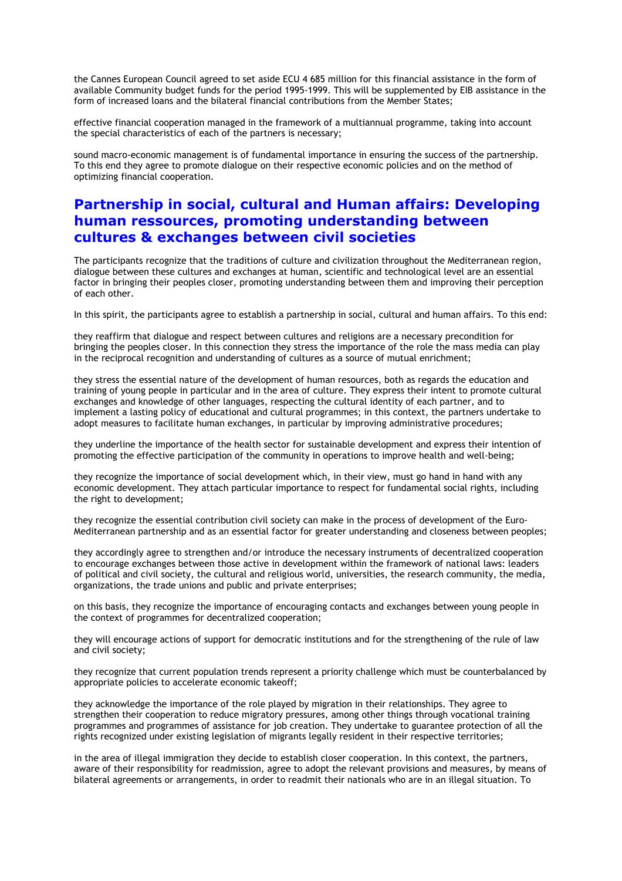the Cannes European Council agreed to set aside ECU 4 685 million for this financial assistance in the form of available Community budget funds for the period 1995-1999. This will be supplemented by EIB assistance in the form of increased loans and the bilateral financial contributions from the Member States;

effective financial cooperation managed in the framework of a multiannual programme, taking into account the special characteristics of each of the partners is necessary;

sound macro-economic management is of fundamental importance in ensuring the success of the partnership. To this end they agree to promote dialogue on their respective economic policies and on the method of optimizing financial cooperation.

# **Partnership in social, cultural and Human affairs: Developing human ressources, promoting understanding between cultures & exchanges between civil societies**

The participants recognize that the traditions of culture and civilization throughout the Mediterranean region, dialogue between these cultures and exchanges at human, scientific and technological level are an essential factor in bringing their peoples closer, promoting understanding between them and improving their perception of each other.

In this spirit, the participants agree to establish a partnership in social, cultural and human affairs. To this end:

they reaffirm that dialogue and respect between cultures and religions are a necessary precondition for bringing the peoples closer. In this connection they stress the importance of the role the mass media can play in the reciprocal recognition and understanding of cultures as a source of mutual enrichment;

they stress the essential nature of the development of human resources, both as regards the education and training of young people in particular and in the area of culture. They express their intent to promote cultural exchanges and knowledge of other languages, respecting the cultural identity of each partner, and to implement a lasting policy of educational and cultural programmes; in this context, the partners undertake to adopt measures to facilitate human exchanges, in particular by improving administrative procedures;

they underline the importance of the health sector for sustainable development and express their intention of promoting the effective participation of the community in operations to improve health and well-being;

they recognize the importance of social development which, in their view, must go hand in hand with any economic development. They attach particular importance to respect for fundamental social rights, including the right to development;

they recognize the essential contribution civil society can make in the process of development of the Euro-Mediterranean partnership and as an essential factor for greater understanding and closeness between peoples;

they accordingly agree to strengthen and/or introduce the necessary instruments of decentralized cooperation to encourage exchanges between those active in development within the framework of national laws: leaders of political and civil society, the cultural and religious world, universities, the research community, the media, organizations, the trade unions and public and private enterprises;

on this basis, they recognize the importance of encouraging contacts and exchanges between young people in the context of programmes for decentralized cooperation;

they will encourage actions of support for democratic institutions and for the strengthening of the rule of law and civil society;

they recognize that current population trends represent a priority challenge which must be counterbalanced by appropriate policies to accelerate economic takeoff;

they acknowledge the importance of the role played by migration in their relationships. They agree to strengthen their cooperation to reduce migratory pressures, among other things through vocational training programmes and programmes of assistance for job creation. They undertake to guarantee protection of all the rights recognized under existing legislation of migrants legally resident in their respective territories;

in the area of illegal immigration they decide to establish closer cooperation. In this context, the partners, aware of their responsibility for readmission, agree to adopt the relevant provisions and measures, by means of bilateral agreements or arrangements, in order to readmit their nationals who are in an illegal situation. To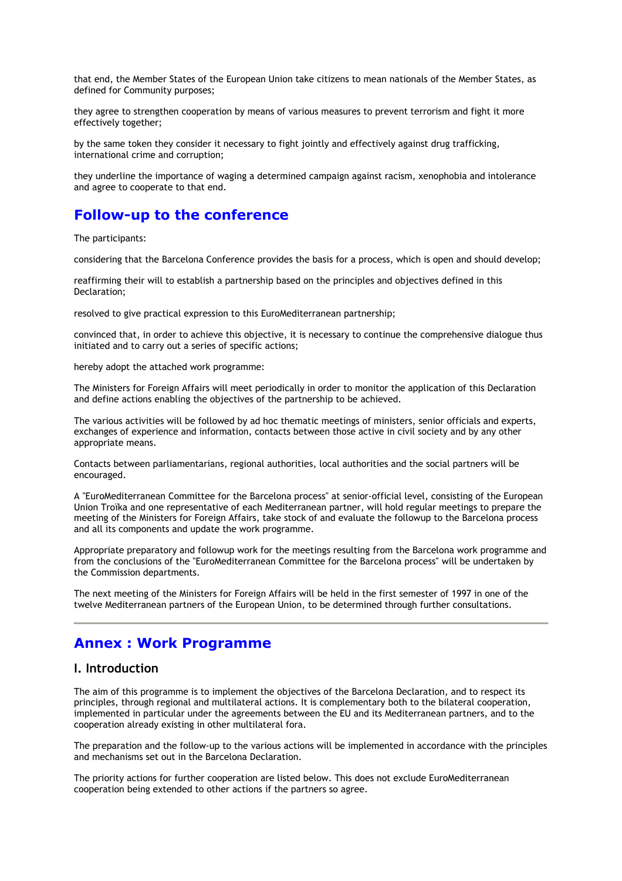that end, the Member States of the European Union take citizens to mean nationals of the Member States, as defined for Community purposes;

they agree to strengthen cooperation by means of various measures to prevent terrorism and fight it more effectively together;

by the same token they consider it necessary to fight jointly and effectively against drug trafficking, international crime and corruption;

they underline the importance of waging a determined campaign against racism, xenophobia and intolerance and agree to cooperate to that end.

# **Follow-up to the conference**

The participants:

considering that the Barcelona Conference provides the basis for a process, which is open and should develop;

reaffirming their will to establish a partnership based on the principles and objectives defined in this Declaration;

resolved to give practical expression to this EuroMediterranean partnership;

convinced that, in order to achieve this objective, it is necessary to continue the comprehensive dialogue thus initiated and to carry out a series of specific actions;

hereby adopt the attached work programme:

The Ministers for Foreign Affairs will meet periodically in order to monitor the application of this Declaration and define actions enabling the objectives of the partnership to be achieved.

The various activities will be followed by ad hoc thematic meetings of ministers, senior officials and experts, exchanges of experience and information, contacts between those active in civil society and by any other appropriate means.

Contacts between parliamentarians, regional authorities, local authorities and the social partners will be encouraged.

A "EuroMediterranean Committee for the Barcelona process" at senior-official level, consisting of the European Union Troïka and one representative of each Mediterranean partner, will hold regular meetings to prepare the meeting of the Ministers for Foreign Affairs, take stock of and evaluate the followup to the Barcelona process and all its components and update the work programme.

Appropriate preparatory and followup work for the meetings resulting from the Barcelona work programme and from the conclusions of the "EuroMediterranean Committee for the Barcelona process" will be undertaken by the Commission departments.

The next meeting of the Ministers for Foreign Affairs will be held in the first semester of 1997 in one of the twelve Mediterranean partners of the European Union, to be determined through further consultations.

# **Annex : Work Programme**

# **I. Introduction**

The aim of this programme is to implement the objectives of the Barcelona Declaration, and to respect its principles, through regional and multilateral actions. It is complementary both to the bilateral cooperation, implemented in particular under the agreements between the EU and its Mediterranean partners, and to the cooperation already existing in other multilateral fora.

The preparation and the follow-up to the various actions will be implemented in accordance with the principles and mechanisms set out in the Barcelona Declaration.

The priority actions for further cooperation are listed below. This does not exclude EuroMediterranean cooperation being extended to other actions if the partners so agree.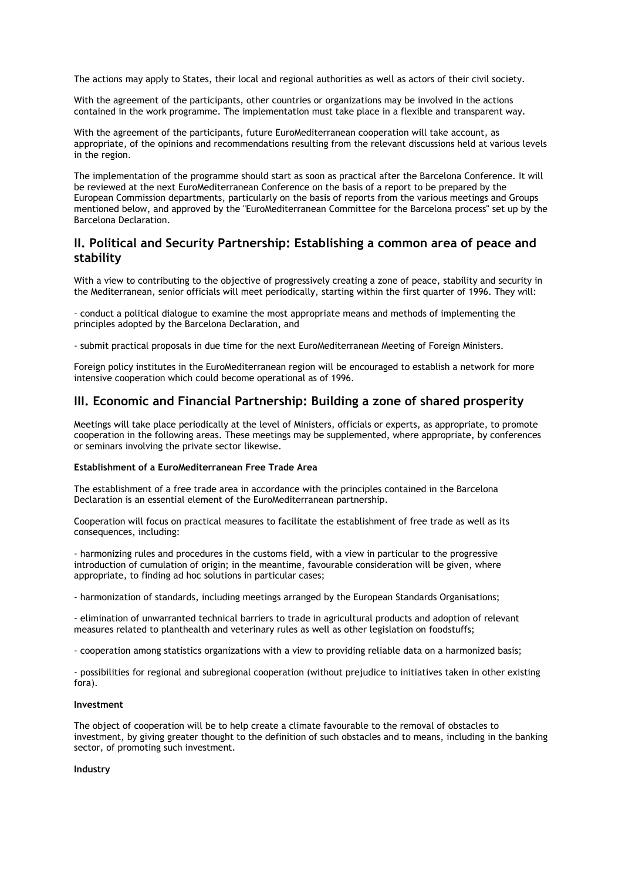The actions may apply to States, their local and regional authorities as well as actors of their civil society.

With the agreement of the participants, other countries or organizations may be involved in the actions contained in the work programme. The implementation must take place in a flexible and transparent way.

With the agreement of the participants, future EuroMediterranean cooperation will take account, as appropriate, of the opinions and recommendations resulting from the relevant discussions held at various levels in the region.

The implementation of the programme should start as soon as practical after the Barcelona Conference. It will be reviewed at the next EuroMediterranean Conference on the basis of a report to be prepared by the European Commission departments, particularly on the basis of reports from the various meetings and Groups mentioned below, and approved by the "EuroMediterranean Committee for the Barcelona process" set up by the Barcelona Declaration.

# **II. Political and Security Partnership: Establishing a common area of peace and stability**

With a view to contributing to the objective of progressively creating a zone of peace, stability and security in the Mediterranean, senior officials will meet periodically, starting within the first quarter of 1996. They will:

- conduct a political dialogue to examine the most appropriate means and methods of implementing the principles adopted by the Barcelona Declaration, and

- submit practical proposals in due time for the next EuroMediterranean Meeting of Foreign Ministers.

Foreign policy institutes in the EuroMediterranean region will be encouraged to establish a network for more intensive cooperation which could become operational as of 1996.

## **III. Economic and Financial Partnership: Building a zone of shared prosperity**

Meetings will take place periodically at the level of Ministers, officials or experts, as appropriate, to promote cooperation in the following areas. These meetings may be supplemented, where appropriate, by conferences or seminars involving the private sector likewise.

### **Establishment of a EuroMediterranean Free Trade Area**

The establishment of a free trade area in accordance with the principles contained in the Barcelona Declaration is an essential element of the EuroMediterranean partnership.

Cooperation will focus on practical measures to facilitate the establishment of free trade as well as its consequences, including:

- harmonizing rules and procedures in the customs field, with a view in particular to the progressive introduction of cumulation of origin; in the meantime, favourable consideration will be given, where appropriate, to finding ad hoc solutions in particular cases;

- harmonization of standards, including meetings arranged by the European Standards Organisations;

- elimination of unwarranted technical barriers to trade in agricultural products and adoption of relevant measures related to planthealth and veterinary rules as well as other legislation on foodstuffs;

- cooperation among statistics organizations with a view to providing reliable data on a harmonized basis;

- possibilities for regional and subregional cooperation (without prejudice to initiatives taken in other existing fora).

#### **Investment**

The object of cooperation will be to help create a climate favourable to the removal of obstacles to investment, by giving greater thought to the definition of such obstacles and to means, including in the banking sector, of promoting such investment.

**Industry**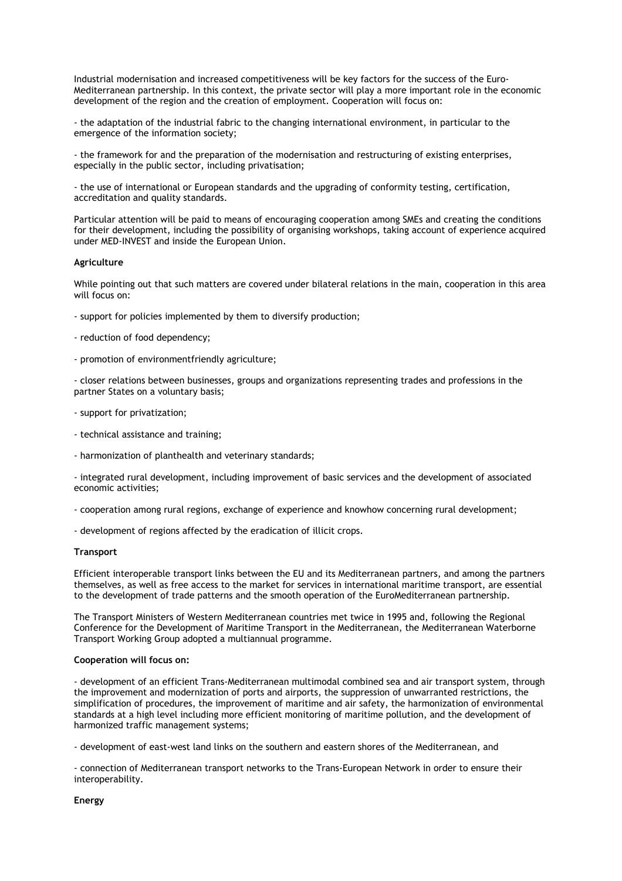Industrial modernisation and increased competitiveness will be key factors for the success of the Euro-Mediterranean partnership. In this context, the private sector will play a more important role in the economic development of the region and the creation of employment. Cooperation will focus on:

- the adaptation of the industrial fabric to the changing international environment, in particular to the emergence of the information society;

- the framework for and the preparation of the modernisation and restructuring of existing enterprises, especially in the public sector, including privatisation;

- the use of international or European standards and the upgrading of conformity testing, certification, accreditation and quality standards.

Particular attention will be paid to means of encouraging cooperation among SMEs and creating the conditions for their development, including the possibility of organising workshops, taking account of experience acquired under MED-INVEST and inside the European Union.

#### **Agriculture**

While pointing out that such matters are covered under bilateral relations in the main, cooperation in this area will focus on:

- support for policies implemented by them to diversify production;
- reduction of food dependency;
- promotion of environmentfriendly agriculture;

- closer relations between businesses, groups and organizations representing trades and professions in the partner States on a voluntary basis;

- support for privatization;
- technical assistance and training;
- harmonization of planthealth and veterinary standards;

- integrated rural development, including improvement of basic services and the development of associated economic activities;

- cooperation among rural regions, exchange of experience and knowhow concerning rural development;
- development of regions affected by the eradication of illicit crops.

#### **Transport**

Efficient interoperable transport links between the EU and its Mediterranean partners, and among the partners themselves, as well as free access to the market for services in international maritime transport, are essential to the development of trade patterns and the smooth operation of the EuroMediterranean partnership.

The Transport Ministers of Western Mediterranean countries met twice in 1995 and, following the Regional Conference for the Development of Maritime Transport in the Mediterranean, the Mediterranean Waterborne Transport Working Group adopted a multiannual programme.

#### **Cooperation will focus on:**

- development of an efficient Trans-Mediterranean multimodal combined sea and air transport system, through the improvement and modernization of ports and airports, the suppression of unwarranted restrictions, the simplification of procedures, the improvement of maritime and air safety, the harmonization of environmental standards at a high level including more efficient monitoring of maritime pollution, and the development of harmonized traffic management systems;

- development of east-west land links on the southern and eastern shores of the Mediterranean, and

- connection of Mediterranean transport networks to the Trans-European Network in order to ensure their interoperability.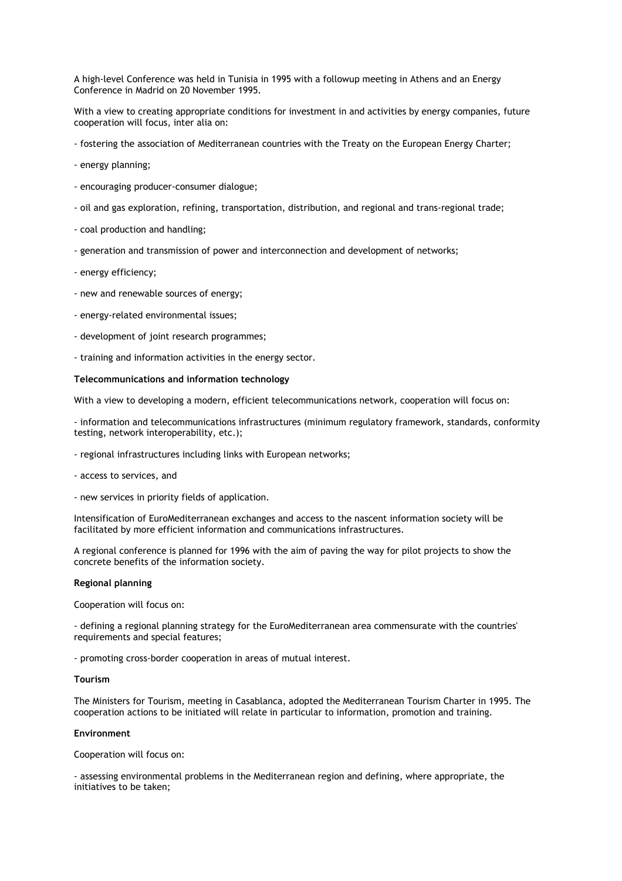A high-level Conference was held in Tunisia in 1995 with a followup meeting in Athens and an Energy Conference in Madrid on 20 November 1995.

With a view to creating appropriate conditions for investment in and activities by energy companies, future cooperation will focus, inter alia on:

- fostering the association of Mediterranean countries with the Treaty on the European Energy Charter;
- energy planning;
- encouraging producer-consumer dialogue;
- oil and gas exploration, refining, transportation, distribution, and regional and trans-regional trade;
- coal production and handling;
- generation and transmission of power and interconnection and development of networks;
- energy efficiency;
- new and renewable sources of energy;
- energy-related environmental issues;
- development of joint research programmes;
- training and information activities in the energy sector.

#### **Telecommunications and information technology**

With a view to developing a modern, efficient telecommunications network, cooperation will focus on:

- information and telecommunications infrastructures (minimum regulatory framework, standards, conformity testing, network interoperability, etc.);

- regional infrastructures including links with European networks;
- access to services, and
- new services in priority fields of application.

Intensification of EuroMediterranean exchanges and access to the nascent information society will be facilitated by more efficient information and communications infrastructures.

A regional conference is planned for 1996 with the aim of paving the way for pilot projects to show the concrete benefits of the information society.

#### **Regional planning**

Cooperation will focus on:

- defining a regional planning strategy for the EuroMediterranean area commensurate with the countries' requirements and special features;

- promoting cross-border cooperation in areas of mutual interest.

### **Tourism**

The Ministers for Tourism, meeting in Casablanca, adopted the Mediterranean Tourism Charter in 1995. The cooperation actions to be initiated will relate in particular to information, promotion and training.

#### **Environment**

Cooperation will focus on:

- assessing environmental problems in the Mediterranean region and defining, where appropriate, the initiatives to be taken;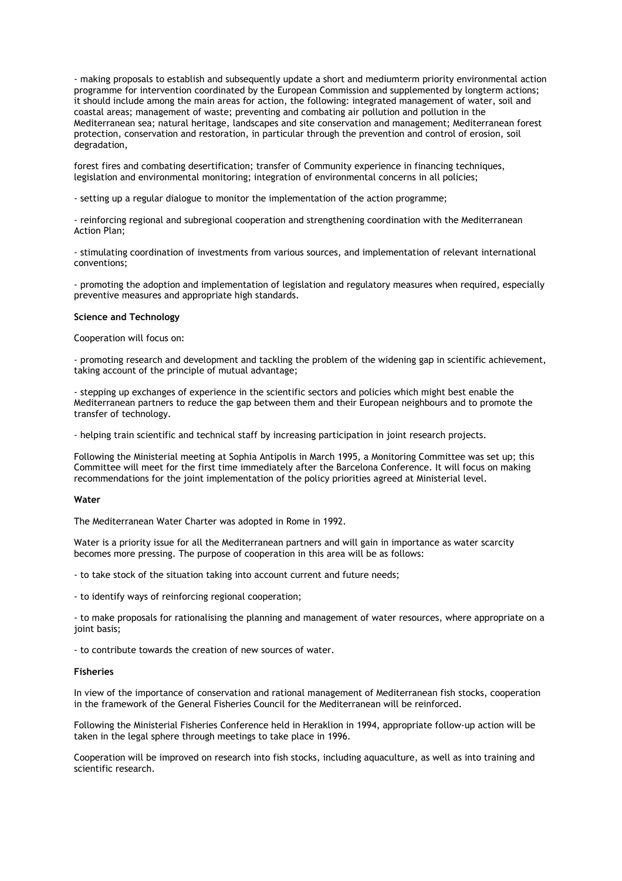- making proposals to establish and subsequently update a short and mediumterm priority environmental action programme for intervention coordinated by the European Commission and supplemented by longterm actions; it should include among the main areas for action, the following: integrated management of water, soil and coastal areas; management of waste; preventing and combating air pollution and pollution in the Mediterranean sea; natural heritage, landscapes and site conservation and management; Mediterranean forest protection, conservation and restoration, in particular through the prevention and control of erosion, soil degradation,

forest fires and combating desertification; transfer of Community experience in financing techniques, legislation and environmental monitoring; integration of environmental concerns in all policies;

- setting up a regular dialogue to monitor the implementation of the action programme;

- reinforcing regional and subregional cooperation and strengthening coordination with the Mediterranean Action Plan;

- stimulating coordination of investments from various sources, and implementation of relevant international conventions;

- promoting the adoption and implementation of legislation and regulatory measures when required, especially preventive measures and appropriate high standards.

#### **Science and Technology**

Cooperation will focus on:

- promoting research and development and tackling the problem of the widening gap in scientific achievement, taking account of the principle of mutual advantage;

- stepping up exchanges of experience in the scientific sectors and policies which might best enable the Mediterranean partners to reduce the gap between them and their European neighbours and to promote the transfer of technology.

- helping train scientific and technical staff by increasing participation in joint research projects.

Following the Ministerial meeting at Sophia Antipolis in March 1995, a Monitoring Committee was set up; this Committee will meet for the first time immediately after the Barcelona Conference. It will focus on making recommendations for the joint implementation of the policy priorities agreed at Ministerial level.

## **Water**

The Mediterranean Water Charter was adopted in Rome in 1992.

Water is a priority issue for all the Mediterranean partners and will gain in importance as water scarcity becomes more pressing. The purpose of cooperation in this area will be as follows:

- to take stock of the situation taking into account current and future needs;

- to identify ways of reinforcing regional cooperation;

- to make proposals for rationalising the planning and management of water resources, where appropriate on a joint basis;

- to contribute towards the creation of new sources of water.

#### **Fisheries**

In view of the importance of conservation and rational management of Mediterranean fish stocks, cooperation in the framework of the General Fisheries Council for the Mediterranean will be reinforced.

Following the Ministerial Fisheries Conference held in Heraklion in 1994, appropriate follow-up action will be taken in the legal sphere through meetings to take place in 1996.

Cooperation will be improved on research into fish stocks, including aquaculture, as well as into training and scientific research.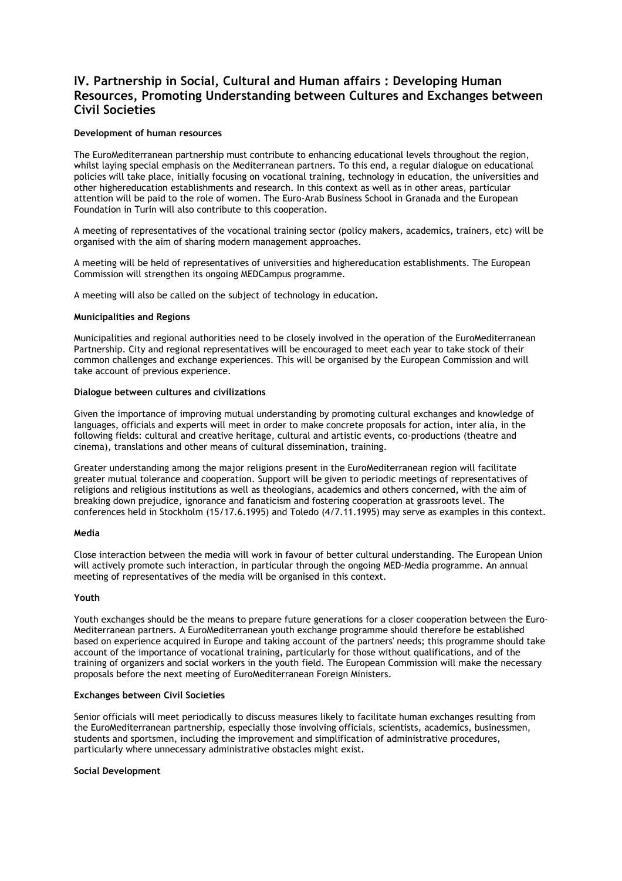# **IV. Partnership in Social, Cultural and Human affairs : Developing Human Resources, Promoting Understanding between Cultures and Exchanges between Civil Societies**

## **Development of human resources**

The EuroMediterranean partnership must contribute to enhancing educational levels throughout the region, whilst laying special emphasis on the Mediterranean partners. To this end, a regular dialogue on educational policies will take place, initially focusing on vocational training, technology in education, the universities and other highereducation establishments and research. In this context as well as in other areas, particular attention will be paid to the role of women. The Euro-Arab Business School in Granada and the European Foundation in Turin will also contribute to this cooperation.

A meeting of representatives of the vocational training sector (policy makers, academics, trainers, etc) will be organised with the aim of sharing modern management approaches.

A meeting will be held of representatives of universities and highereducation establishments. The European Commission will strengthen its ongoing MEDCampus programme.

A meeting will also be called on the subject of technology in education.

## **Municipalities and Regions**

Municipalities and regional authorities need to be closely involved in the operation of the EuroMediterranean Partnership. City and regional representatives will be encouraged to meet each year to take stock of their common challenges and exchange experiences. This will be organised by the European Commission and will take account of previous experience.

## **Dialogue between cultures and civilizations**

Given the importance of improving mutual understanding by promoting cultural exchanges and knowledge of languages, officials and experts will meet in order to make concrete proposals for action, inter alia, in the following fields: cultural and creative heritage, cultural and artistic events, co-productions (theatre and cinema), translations and other means of cultural dissemination, training.

Greater understanding among the major religions present in the EuroMediterranean region will facilitate greater mutual tolerance and cooperation. Support will be given to periodic meetings of representatives of religions and religious institutions as well as theologians, academics and others concerned, with the aim of breaking down prejudice, ignorance and fanaticism and fostering cooperation at grassroots level. The conferences held in Stockholm (15/17.6.1995) and Toledo (4/7.11.1995) may serve as examples in this context.

## **Media**

Close interaction between the media will work in favour of better cultural understanding. The European Union will actively promote such interaction, in particular through the ongoing MED-Media programme. An annual meeting of representatives of the media will be organised in this context.

## **Youth**

Youth exchanges should be the means to prepare future generations for a closer cooperation between the Euro-Mediterranean partners. A EuroMediterranean youth exchange programme should therefore be established based on experience acquired in Europe and taking account of the partners' needs; this programme should take account of the importance of vocational training, particularly for those without qualifications, and of the training of organizers and social workers in the youth field. The European Commission will make the necessary proposals before the next meeting of EuroMediterranean Foreign Ministers.

## **Exchanges between Civil Societies**

Senior officials will meet periodically to discuss measures likely to facilitate human exchanges resulting from the EuroMediterranean partnership, especially those involving officials, scientists, academics, businessmen, students and sportsmen, including the improvement and simplification of administrative procedures, particularly where unnecessary administrative obstacles might exist.

## **Social Development**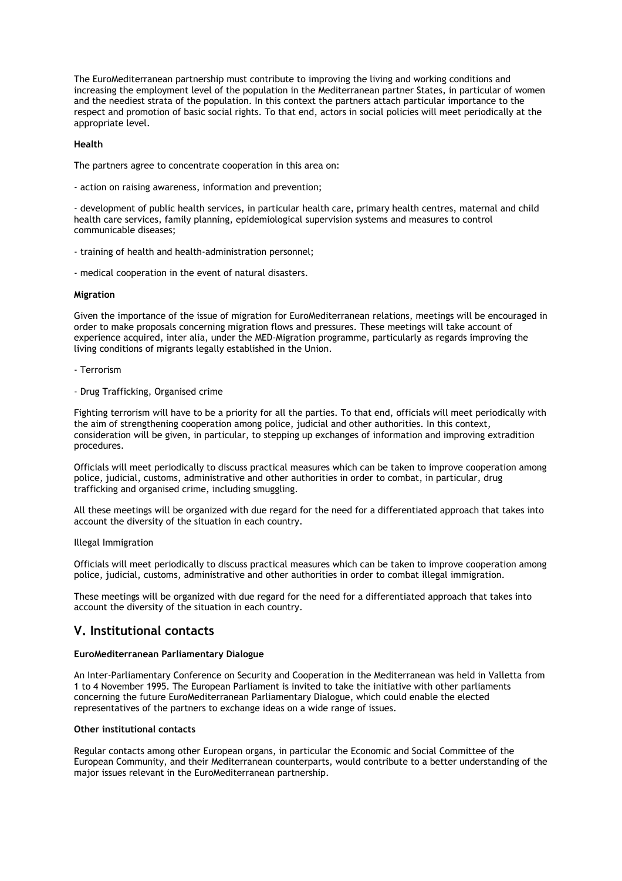The EuroMediterranean partnership must contribute to improving the living and working conditions and increasing the employment level of the population in the Mediterranean partner States, in particular of women and the neediest strata of the population. In this context the partners attach particular importance to the respect and promotion of basic social rights. To that end, actors in social policies will meet periodically at the appropriate level.

**Health**

The partners agree to concentrate cooperation in this area on:

- action on raising awareness, information and prevention;

- development of public health services, in particular health care, primary health centres, maternal and child health care services, family planning, epidemiological supervision systems and measures to control communicable diseases;

- training of health and health-administration personnel;
- medical cooperation in the event of natural disasters.

#### **Migration**

Given the importance of the issue of migration for EuroMediterranean relations, meetings will be encouraged in order to make proposals concerning migration flows and pressures. These meetings will take account of experience acquired, inter alia, under the MED-Migration programme, particularly as regards improving the living conditions of migrants legally established in the Union.

- Terrorism
- Drug Trafficking, Organised crime

Fighting terrorism will have to be a priority for all the parties. To that end, officials will meet periodically with the aim of strengthening cooperation among police, judicial and other authorities. In this context, consideration will be given, in particular, to stepping up exchanges of information and improving extradition procedures.

Officials will meet periodically to discuss practical measures which can be taken to improve cooperation among police, judicial, customs, administrative and other authorities in order to combat, in particular, drug trafficking and organised crime, including smuggling.

All these meetings will be organized with due regard for the need for a differentiated approach that takes into account the diversity of the situation in each country.

#### Illegal Immigration

Officials will meet periodically to discuss practical measures which can be taken to improve cooperation among police, judicial, customs, administrative and other authorities in order to combat illegal immigration.

These meetings will be organized with due regard for the need for a differentiated approach that takes into account the diversity of the situation in each country.

# **V. Institutional contacts**

## **EuroMediterranean Parliamentary Dialogue**

An Inter-Parliamentary Conference on Security and Cooperation in the Mediterranean was held in Valletta from 1 to 4 November 1995. The European Parliament is invited to take the initiative with other parliaments concerning the future EuroMediterranean Parliamentary Dialogue, which could enable the elected representatives of the partners to exchange ideas on a wide range of issues.

## **Other institutional contacts**

Regular contacts among other European organs, in particular the Economic and Social Committee of the European Community, and their Mediterranean counterparts, would contribute to a better understanding of the major issues relevant in the EuroMediterranean partnership.